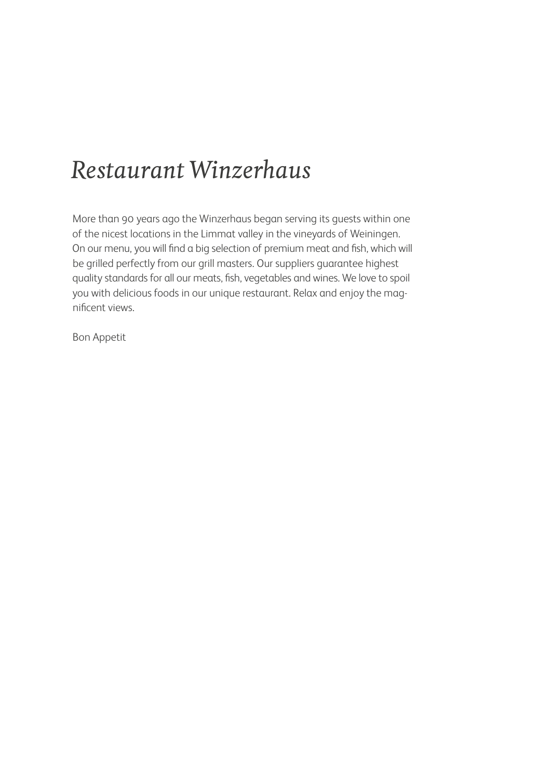## *Restaurant Winzerhaus*

More than 90 years ago the Winzerhaus began serving its guests within one of the nicest locations in the Limmat valley in the vineyards of Weiningen. On our menu, you will find a big selection of premium meat and fish, which will be grilled perfectly from our grill masters. Our suppliers guarantee highest quality standards for all our meats, fish, vegetables and wines. We love to spoil you with delicious foods in our unique restaurant. Relax and enjoy the magnificent views.

Bon Appetit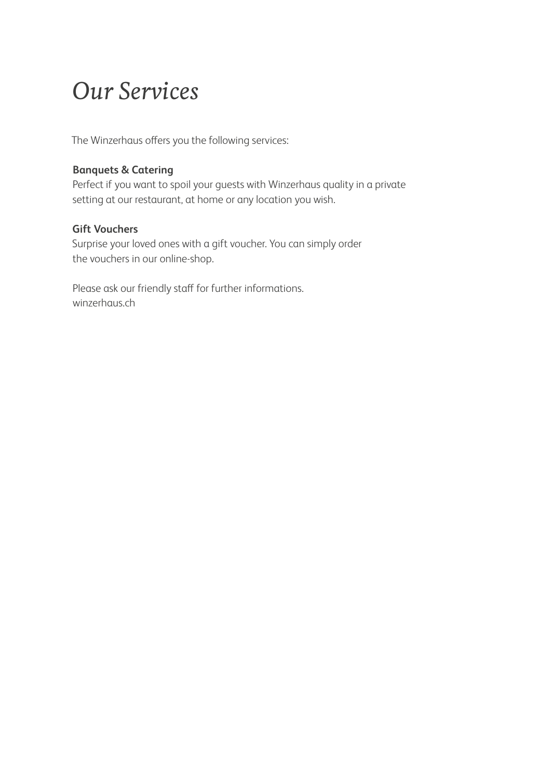## *Our Services*

The Winzerhaus offers you the following services:

### **Banquets & Catering**

Perfect if you want to spoil your guests with Winzerhaus quality in a private setting at our restaurant, at home or any location you wish.

#### **Gift Vouchers**

Surprise your loved ones with a gift voucher. You can simply order the vouchers in our online-shop.

Please ask our friendly staff for further informations. winzerhaus.ch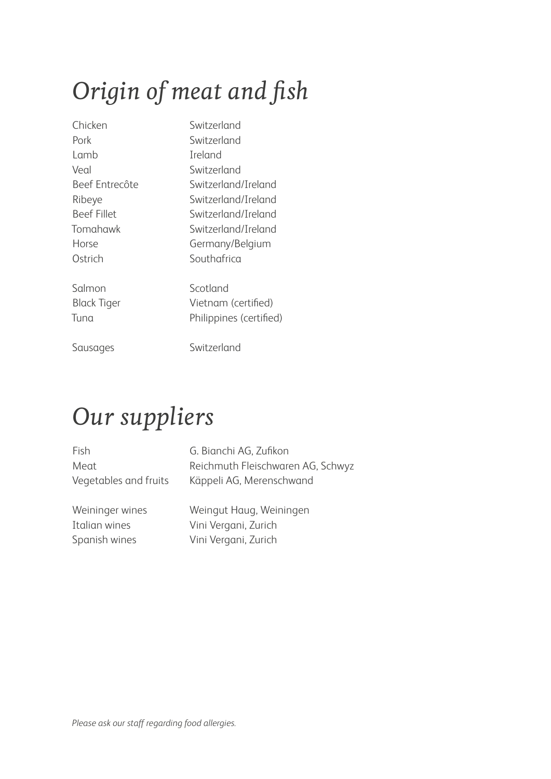# *Origin of meat and fish*

| Chicken            | Switzerland             |
|--------------------|-------------------------|
| Pork               | Switzerland             |
| Lamb               | <b>Ireland</b>          |
| Veal               | Switzerland             |
| Beef Entrecôte     | Switzerland/Ireland     |
| Ribeye             | Switzerland/Ireland     |
| <b>Beef Fillet</b> | Switzerland/Ireland     |
| Tomahawk           | Switzerland/Ireland     |
| Horse              | Germany/Belgium         |
| Ostrich            | Southafrica             |
| Salmon             | Scotland                |
| <b>Black Tiger</b> | Vietnam (certified)     |
| Tuna               | Philippines (certified) |
| Sausages           | Switzerland             |

# *Our suppliers*

Vegetables and fruits Käppeli AG, Merenschwand

Fish G. Bianchi AG, Zufikon Meat Reichmuth Fleischwaren AG, Schwyz

Weininger wines Weingut Haug, Weiningen Italian wines Vini Vergani, Zurich Spanish wines Vini Vergani, Zurich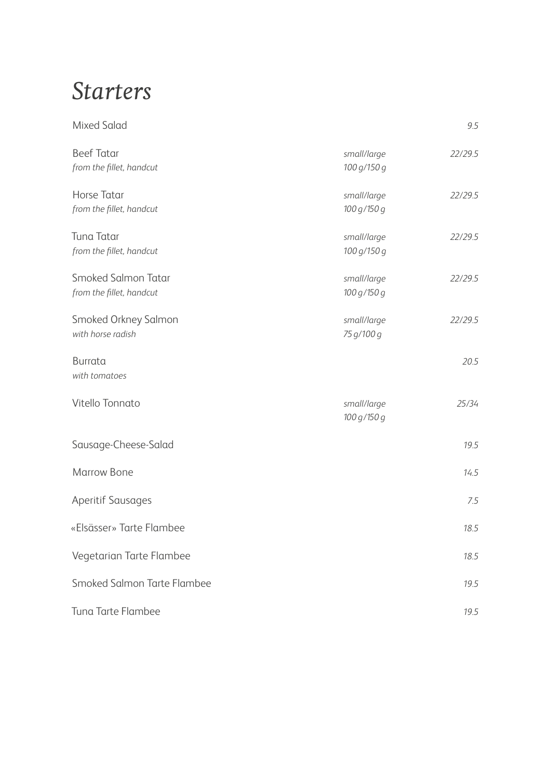### *Starters*

| <b>Mixed Salad</b>                              |                            | 9.5     |
|-------------------------------------------------|----------------------------|---------|
| <b>Beef Tatar</b><br>from the fillet, handcut   | small/large<br>100 g/150 g | 22/29.5 |
| Horse Tatar<br>from the fillet, handcut         | small/large<br>100 g/150 g | 22/29.5 |
| Tuna Tatar<br>from the fillet, handcut          | small/large<br>100 g/150 g | 22/29.5 |
| Smoked Salmon Tatar<br>from the fillet, handcut | small/large<br>100 g/150 g | 22/29.5 |
| Smoked Orkney Salmon<br>with horse radish       | small/large<br>75 g/100 g  | 22/29.5 |
| <b>Burrata</b><br>with tomatoes                 |                            | 20.5    |
| Vitello Tonnato                                 | small/large<br>100 g/150 g | 25/34   |
| Sausage-Cheese-Salad                            |                            | 19.5    |
| <b>Marrow Bone</b>                              |                            | 14.5    |
| <b>Aperitif Sausages</b>                        |                            | 7.5     |
| «Elsässer» Tarte Flambee                        |                            | 18.5    |
| Vegetarian Tarte Flambee                        |                            | 18.5    |
| Smoked Salmon Tarte Flambee                     |                            | 19.5    |
| Tuna Tarte Flambee                              |                            | 19.5    |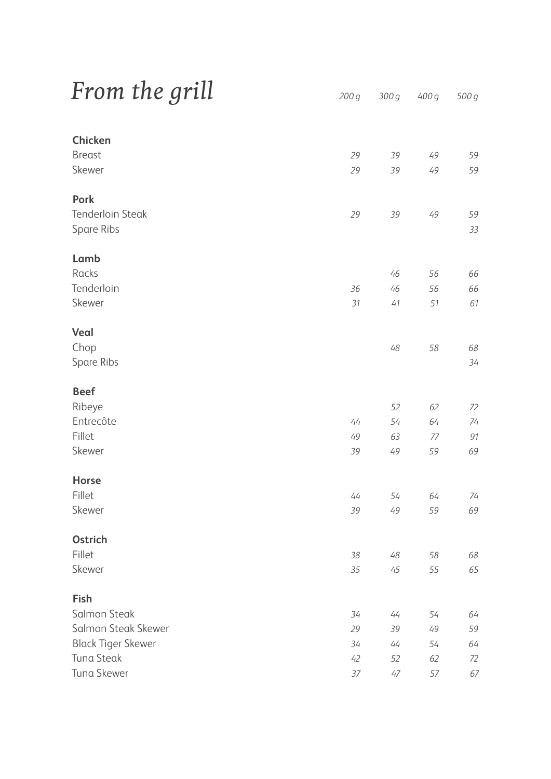| From the grill |  |  |
|----------------|--|--|
|----------------|--|--|

| Chicken                   |      |        |    |    |
|---------------------------|------|--------|----|----|
| <b>Breast</b>             | 29   | 39     | 49 | 59 |
| Skewer                    | 29   | 39     | 49 | 59 |
|                           |      |        |    |    |
| Pork                      |      |        |    |    |
| <b>Tenderloin Steak</b>   | 29   | 39     | 49 | 59 |
| Spare Ribs                |      |        |    | 33 |
|                           |      |        |    |    |
| Lamb                      |      |        |    |    |
| Racks                     |      | 46     | 56 | 66 |
| Tenderloin                | 36   | 46     | 56 | 66 |
| Skewer                    | 31   | $41$   | 51 | 61 |
|                           |      |        |    |    |
| Veal                      |      |        |    |    |
| Chop                      |      | $48\,$ | 58 | 68 |
| Spare Ribs                |      |        |    | 34 |
|                           |      |        |    |    |
| <b>Beef</b>               |      |        |    |    |
| Ribeye                    |      | 52     | 62 | 72 |
| Entrecôte                 | $44$ | 54     | 64 | 74 |
| Fillet                    | 49   | 63     | 77 | 91 |
| Skewer                    | 39   | 49     | 59 | 69 |
|                           |      |        |    |    |
| Horse                     |      |        |    |    |
| Fillet                    | 44   | 54     | 64 | 74 |
| Skewer                    | 39   | 49     | 59 | 69 |
|                           |      |        |    |    |
| Ostrich                   |      |        |    |    |
| Fillet                    | 38   | $48\,$ | 58 | 68 |
| Skewer                    | 35   | $45\,$ | 55 | 65 |
|                           |      |        |    |    |
| Fish                      |      |        |    |    |
| Salmon Steak              | 34   | 44     | 54 | 64 |
| Salmon Steak Skewer       | 29   | 39     | 49 | 59 |
| <b>Black Tiger Skewer</b> | 34   | 44     | 54 | 64 |
| Tuna Steak                | 42   | 52     | 62 | 72 |
| Tuna Skewer               | 37   | $47\,$ | 57 | 67 |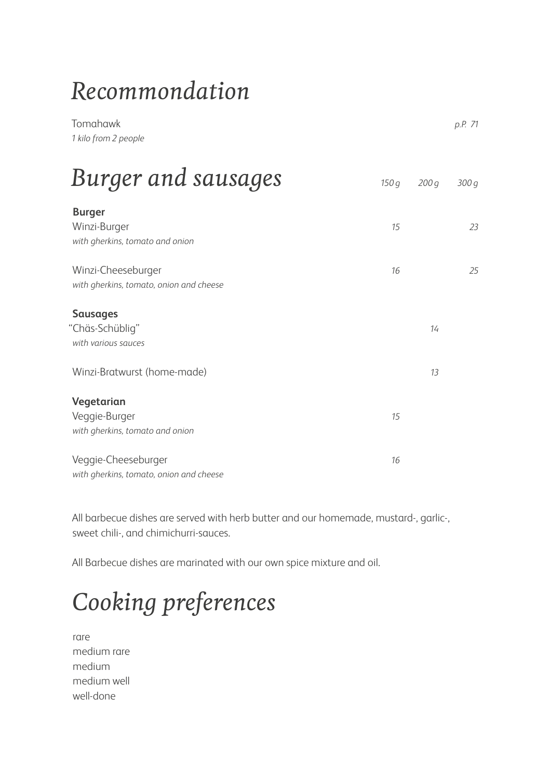# *Recommondation*

| Tomahawk<br>1 kilo from 2 people                                                         |      |          | p.P. 71 |
|------------------------------------------------------------------------------------------|------|----------|---------|
| Burger and sausages                                                                      | 150q | 200q     | 300q    |
| <b>Burger</b><br>Winzi-Burger<br>with gherkins, tomato and onion                         | 15   |          | 23      |
| Winzi-Cheeseburger<br>with gherkins, tomato, onion and cheese                            | 16   |          | 25      |
| <b>Sausages</b><br>"Chäs-Schüblig"<br>with various sauces<br>Winzi-Bratwurst (home-made) |      | 14<br>13 |         |
| Vegetarian<br>Veggie-Burger<br>with gherkins, tomato and onion                           | 15   |          |         |
| Veggie-Cheeseburger<br>with gherkins, tomato, onion and cheese                           | 16   |          |         |

All barbecue dishes are served with herb butter and our homemade, mustard-, garlic-, sweet chili-, and chimichurri-sauces.

All Barbecue dishes are marinated with our own spice mixture and oil.

# *Cooking preferences*

rare medium rare medium medium well well-done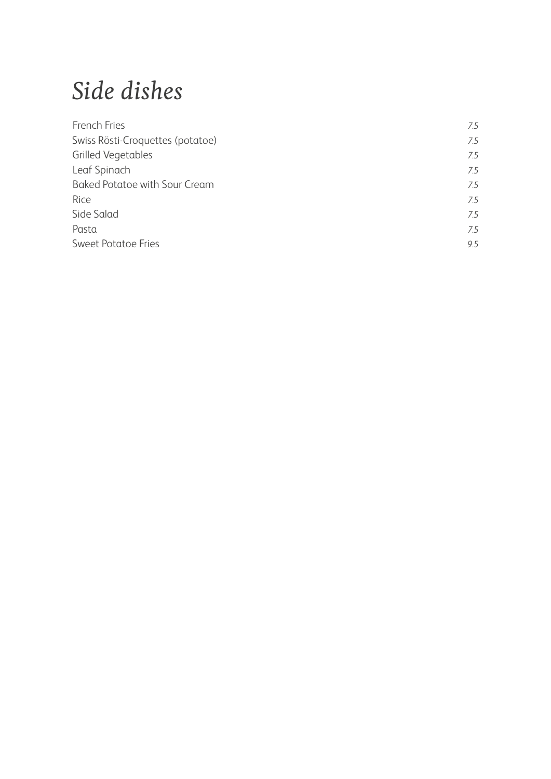# *Side dishes*

| French Fries                         | 75  |
|--------------------------------------|-----|
| Swiss Rösti-Croquettes (potatoe)     | 75  |
| <b>Grilled Vegetables</b>            | 75  |
| Leaf Spinach                         | 7.5 |
| <b>Baked Potatoe with Sour Cream</b> | 75  |
| Rice                                 | 75  |
| Side Salad                           | 7.5 |
| Pasta                                | 7.5 |
| <b>Sweet Potatoe Fries</b>           | 9.5 |
|                                      |     |